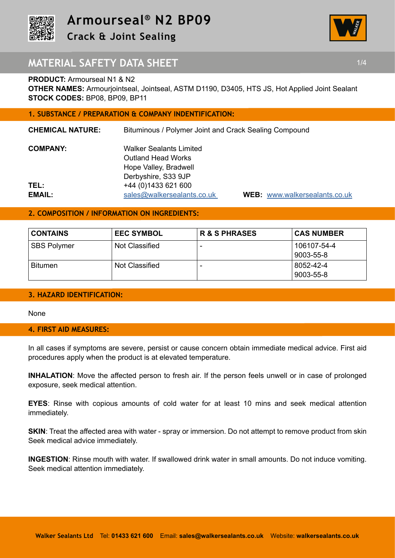



## **MATERIAL SAFETY DATA SHEET 1/4 1/4**

## **PRODUCT:** Armourseal N1 & N2

**OTHER NAMES:** Armourjointseal, Jointseal, ASTM D1190, D3405, HTS JS, Hot Applied Joint Sealant **STOCK CODES:** BP08, BP09, BP11

## **1. SUBSTANCE / PREPARATION & COMPANY INDENTIFICATION:**

| <b>CHEMICAL NATURE:</b> | Bituminous / Polymer Joint and Crack Sealing Compound |                          |
|-------------------------|-------------------------------------------------------|--------------------------|
| <b>COMPANY:</b>         | <b>Walker Sealants Limited</b>                        |                          |
|                         | <b>Outland Head Works</b>                             |                          |
|                         | Hope Valley, Bradwell                                 |                          |
|                         | Derbyshire, S33 9JP                                   |                          |
| TEL:                    | +44 (0) 1433 621 600                                  |                          |
| EMAIL:                  | sales@walkersealants.co.uk                            | <b>WEB: www.walkerso</b> |

**VEB:** www.walkersealants.co.uk

## **2. COMPOSITION / INFORMATION ON INGREDIENTS:**

| <b>CONTAINS</b>    | <b>EEC SYMBOL</b> | <b>R &amp; S PHRASES</b> | <b>CAS NUMBER</b>        |
|--------------------|-------------------|--------------------------|--------------------------|
| <b>SBS Polymer</b> | Not Classified    | $\overline{\phantom{0}}$ | 106107-54-4<br>9003-55-8 |
| <b>Bitumen</b>     | Not Classified    | -                        | 8052-42-4<br>9003-55-8   |

## **3. HAZARD IDENTIFICATION:**

None

### **4. FIRST AID MEASURES:**

In all cases if symptoms are severe, persist or cause concern obtain immediate medical advice. First aid procedures apply when the product is at elevated temperature.

**INHALATION**: Move the affected person to fresh air. If the person feels unwell or in case of prolonged exposure, seek medical attention.

**EYES**: Rinse with copious amounts of cold water for at least 10 mins and seek medical attention immediately.

**SKIN:** Treat the affected area with water - spray or immersion. Do not attempt to remove product from skin Seek medical advice immediately.

**INGESTION**: Rinse mouth with water. If swallowed drink water in small amounts. Do not induce vomiting. Seek medical attention immediately.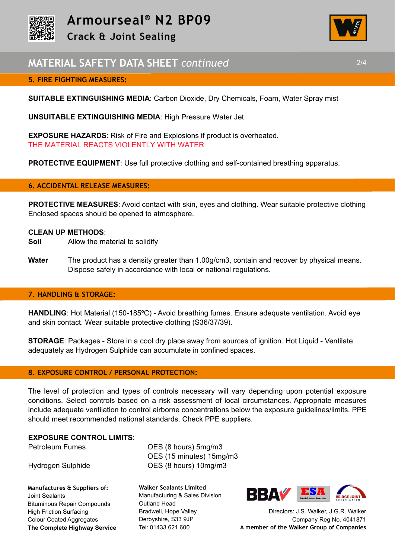



## **5. FIRE FIGHTING MEASURES:**

**SUITABLE EXTINGUISHING MEDIA**: Carbon Dioxide, Dry Chemicals, Foam, Water Spray mist

**UNSUITABLE EXTINGUISHING MEDIA**: High Pressure Water Jet

**EXPOSURE HAZARDS**: Risk of Fire and Explosions if product is overheated. THE MATERIAL REACTS VIOLENTLY WITH WATER.

**PROTECTIVE EQUIPMENT:** Use full protective clothing and self-contained breathing apparatus.

### **6. ACCIDENTAL RELEASE MEASURES:**

**PROTECTIVE MEASURES**: Avoid contact with skin, eyes and clothing. Wear suitable protective clothing Enclosed spaces should be opened to atmosphere.

### **CLEAN UP METHODS**:

- **Soil** Allow the material to solidify
- **Water** The product has a density greater than 1.00g/cm3, contain and recover by physical means. Dispose safely in accordance with local or national regulations.

### **7. HANDLING & STORAGE:**

**HANDLING**: Hot Material (150-185ºC) - Avoid breathing fumes. Ensure adequate ventilation. Avoid eye and skin contact. Wear suitable protective clothing (S36/37/39).

**STORAGE**: Packages - Store in a cool dry place away from sources of ignition. Hot Liquid - Ventilate adequately as Hydrogen Sulphide can accumulate in confined spaces.

### **8. EXPOSURE CONTROL / PERSONAL PROTECTION:**

The level of protection and types of controls necessary will vary depending upon potential exposure conditions. Select controls based on a risk assessment of local circumstances. Appropriate measures include adequate ventilation to control airborne concentrations below the exposure guidelines/limits. PPE should meet recommended national standards. Check PPE suppliers.

### **EXPOSURE CONTROL LIMITS**:

**Manufactures & Suppliers of:**  Joint Sealants Bituminous Repair Compounds High Friction Surfacing Colour Coated Aggregates **The Complete Highway Service**

Petroleum Fumes **OES** (8 hours) 5mg/m3 OES (15 minutes) 15mg/m3 Hydrogen Sulphide OES (8 hours) 10mg/m3

> **Walker Sealants Limited**  Manufacturing & Sales Division Outland Head Bradwell, Hope Valley Derbyshire, S33 9JP Tel: 01433 621 600



Directors: J.S. Walker, J.G.R. Walker Company Reg No. 4041871 **A member of the Walker Group of Companies** 

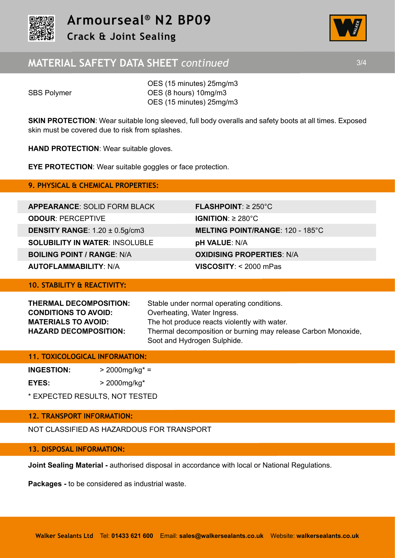



## **MATERIAL SAFETY DATA SHEET** *continued* 3/4

 OES (15 minutes) 25mg/m3 SBS Polymer **OES** (8 hours) 10mg/m3 OES (15 minutes) 25mg/m3

**SKIN PROTECTION:** Wear suitable long sleeved, full body overalls and safety boots at all times. Exposed skin must be covered due to risk from splashes.

**HAND PROTECTION**: Wear suitable gloves.

**EYE PROTECTION**: Wear suitable goggles or face protection.

## **9. PHYSICAL & CHEMICAL PROPERTIES:**

**APPEARANCE**: SOLID FORM BLACK **FLASHPOINT**: ≥ 250°C **ODOUR**: PERCEPTIVE **IGNITION**: ≥ 280°C **DENSITY RANGE**: 1.20 ± 0.5g/cm3 **MELTING POINT/RANGE**: 120 - 185°C **SOLUBILITY IN WATER**: INSOLUBLE **pH VALUE**: N/A **BOILING POINT / RANGE**: N/A **OXIDISING PROPERTIES**: N/A **AUTOFLAMMABILITY**: N/A **VISCOSITY**: < 2000 mPas

**10. STABILITY & REACTIVITY:**

**CONDITIONS TO AVOID:** Overheating, Water Ingress.

**THERMAL DECOMPOSITION:** Stable under normal operating conditions. **MATERIALS TO AVOID:** The hot produce reacts violently with water. **HAZARD DECOMPOSITION:** Thermal decomposition or burning may release Carbon Monoxide, Soot and Hydrogen Sulphide.

## **11. TOXICOLOGICAL INFORMATION:**

**INGESTION:** > 2000mg/kg\* =

**EYES:** > 2000mg/kg\*

\* EXPECTED RESULTS, NOT TESTED

## **12. TRANSPORT INFORMATION:**

NOT CLASSIFIED AS HAZARDOUS FOR TRANSPORT

## **13. DISPOSAL INFORMATION:**

**Joint Sealing Material -** authorised disposal in accordance with local or National Regulations.

**Packages -** to be considered as industrial waste.